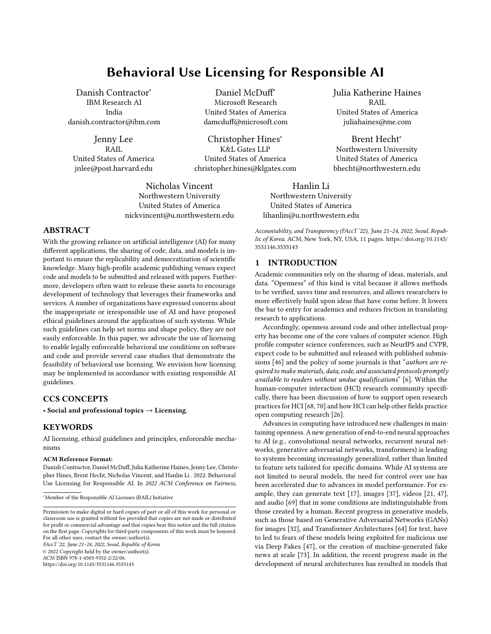# Behavioral Use Licensing for Responsible AI

Danish Contractor<sup>∗</sup> IBM Research AI India danish.contractor@ibm.com

Jenny Lee RAIL United States of America jnlee@post.harvard.edu

Daniel McDuff<sup>∗</sup> Microsoft Research United States of America damcduff@microsoft.com

Christopher Hines<sup>∗</sup> K&L Gates LLP United States of America christopher.hines@klgates.com

Nicholas Vincent Northwestern University United States of America nickvincent@u.northwestern.edu Julia Katherine Haines RAIL United States of America juliahaines@me.com

Brent Hecht<sup>∗</sup> Northwestern University United States of America bhecht@northwestern.edu

Hanlin Li Northwestern University United States of America lihanlin@u.northwestern.edu

# ABSTRACT

With the growing reliance on artificial intelligence (AI) for many different applications, the sharing of code, data, and models is important to ensure the replicability and democratization of scientific knowledge. Many high-profile academic publishing venues expect code and models to be submitted and released with papers. Furthermore, developers often want to release these assets to encourage development of technology that leverages their frameworks and services. A number of organizations have expressed concerns about the inappropriate or irresponsible use of AI and have proposed ethical guidelines around the application of such systems. While such guidelines can help set norms and shape policy, they are not easily enforceable. In this paper, we advocate the use of licensing to enable legally enforceable behavioral use conditions on software and code and provide several case studies that demonstrate the feasibility of behavioral use licensing. We envision how licensing may be implemented in accordance with existing responsible AI guidelines.

## CCS CONCEPTS

• Social and professional topics  $\rightarrow$  Licensing.

# **KEYWORDS**

AI licensing, ethical guidelines and principles, enforceable mechanisms

#### ACM Reference Format:

Danish Contractor, Daniel McDuff, Julia Katherine Haines, Jenny Lee, Christopher Hines, Brent Hecht, Nicholas Vincent, and Hanlin Li . 2022. Behavioral Use Licensing for Responsible AI. In 2022 ACM Conference on Fairness,

FAccT '22, June 21–24, 2022, Seoul, Republic of Korea

© 2022 Copyright held by the owner/author(s). ACM ISBN 978-1-4503-9352-2/22/06.

<https://doi.org/10.1145/3531146.3533143>

# 1 INTRODUCTION

[3531146.3533143](https://doi.org/10.1145/3531146.3533143)

Academic communities rely on the sharing of ideas, materials, and data. "Openness" of this kind is vital because it allows methods to be verified, saves time and resources, and allows researchers to more effectively build upon ideas that have come before. It lowers the bar to entry for academics and reduces friction in translating research to applications.

Accountability, and Transparency (FAccT '22), June 21–24, 2022, Seoul, Republic of Korea. ACM, New York, NY, USA, [11](#page-10-0) pages. [https://doi.org/10.1145/](https://doi.org/10.1145/3531146.3533143)

Accordingly, openness around code and other intellectual property has become one of the core values of computer science. High profile computer science conferences, such as NeurIPS and CVPR, expect code to be submitted and released with published submis-sions [\[46\]](#page-10-1) and the policy of some journals is that "authors are required to make materials, data, code, and associated protocols promptly available to readers without undue qualifications" [\[6\]](#page-9-0). Within the human-computer interaction (HCI) research community specifically, there has been discussion of how to support open research practices for HCI [\[68,](#page-10-2) [70\]](#page-10-3) and how HCI can help other fields practice open computing research [\[26\]](#page-9-1).

Advances in computing have introduced new challenges in maintaining openness. A new generation of end-to-end neural approaches to AI (e.g., convolutional neural networks, recurrent neural networks, generative adversarial networks, transformers) is leading to systems becoming increasingly generalized, rather than limited to feature sets tailored for specific domains. While AI systems are not limited to neural models, the need for control over use has been accelerated due to advances in model performance. For example, they can generate text [\[17\]](#page-9-2), images [\[37\]](#page-9-3), videos [\[21,](#page-9-4) [47\]](#page-10-4), and audio [\[69\]](#page-10-5) that in some conditions are indistinguishable from those created by a human. Recent progress in generative models, such as those based on Generative Adversarial Networks (GANs) for images [\[32\]](#page-9-5), and Transformer Architectures [\[64\]](#page-10-6) for text, have to led to fears of these models being exploited for malicious use via Deep Fakes [\[47\]](#page-10-4), or the creation of machine-generated fake news at scale [\[73\]](#page-10-7). In addition, the recent progress made in the development of neural architectures has resulted in models that

<sup>∗</sup>Member of the Responsible AI Licenses (RAIL) Initiative

Permission to make digital or hard copies of part or all of this work for personal or classroom use is granted without fee provided that copies are not made or distributed for profit or commercial advantage and that copies bear this notice and the full citation on the first page. Copyrights for third-party components of this work must be honored. For all other uses, contact the owner/author(s).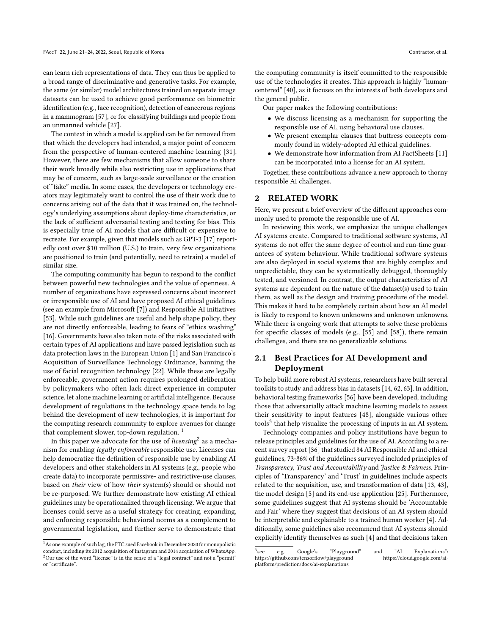can learn rich representations of data. They can thus be applied to a broad range of discriminative and generative tasks. For example, the same (or similar) model architectures trained on separate image datasets can be used to achieve good performance on biometric identification (e.g., face recognition), detection of cancerous regions in a mammogram [\[57\]](#page-10-8), or for classifying buildings and people from an unmanned vehicle [\[27\]](#page-9-6).

The context in which a model is applied can be far removed from that which the developers had intended, a major point of concern from the perspective of human-centered machine learning [\[31\]](#page-9-7). However, there are few mechanisms that allow someone to share their work broadly while also restricting use in applications that may be of concern, such as large-scale surveillance or the creation of "fake" media. In some cases, the developers or technology creators may legitimately want to control the use of their work due to concerns arising out of the data that it was trained on, the technology's underlying assumptions about deploy-time characteristics, or the lack of sufficient adversarial testing and testing for bias. This is especially true of AI models that are difficult or expensive to recreate. For example, given that models such as GPT-3 [\[17\]](#page-9-2) reportedly cost over \$10 million (U.S.) to train, very few organizations are positioned to train (and potentially, need to retrain) a model of similar size.

The computing community has begun to respond to the conflict between powerful new technologies and the value of openness. A number of organizations have expressed concerns about incorrect or irresponsible use of AI and have proposed AI ethical guidelines (see an example from Microsoft [\[7\]](#page-9-8)) and Responsible AI initiatives [\[53\]](#page-10-9). While such guidelines are useful and help shape policy, they are not directly enforceable, leading to fears of "ethics washing" [\[16\]](#page-9-9). Governments have also taken note of the risks associated with certain types of AI applications and have passed legislation such as data protection laws in the European Union [\[1\]](#page-9-10) and San Francisco's Acquisition of Surveillance Technology Ordinance, banning the use of facial recognition technology [\[22\]](#page-9-11). While these are legally enforceable, government action requires prolonged deliberation by policymakers who often lack direct experience in computer science, let alone machine learning or artificial intelligence. Because development of regulations in the technology space tends to lag behind the development of new technologies, it is important for the computing research community to explore avenues for change that complement slower, top-down regulation.<sup>[1](#page-1-0)</sup>

In this paper we advocate for the use of *licensing*<sup>[2](#page-1-1)</sup> as a mechanism for enabling legally enforceable responsible use. Licenses can help democratize the definition of responsible use by enabling AI developers and other stakeholders in AI systems (e.g., people who create data) to incorporate permissive- and restrictive-use clauses, based on their view of how their system(s) should or should not be re-purposed. We further demonstrate how existing AI ethical guidelines may be operationalized through licensing. We argue that licenses could serve as a useful strategy for creating, expanding, and enforcing responsible behavioral norms as a complement to governmental legislation, and further serve to demonstrate that

the computing community is itself committed to the responsible use of the technologies it creates. This approach is highly "humancentered" [\[40\]](#page-9-12), as it focuses on the interests of both developers and the general public.

Our paper makes the following contributions:

- We discuss licensing as a mechanism for supporting the responsible use of AI, using behavioral use clauses.
- We present exemplar clauses that buttress concepts commonly found in widely-adopted AI ethical guidelines.
- We demonstrate how information from AI FactSheets [\[11\]](#page-9-13) can be incorporated into a license for an AI system.

Together, these contributions advance a new approach to thorny responsible AI challenges.

## 2 RELATED WORK

Here, we present a brief overview of the different approaches commonly used to promote the responsible use of AI.

In reviewing this work, we emphasize the unique challenges AI systems create. Compared to traditional software systems, AI systems do not offer the same degree of control and run-time guarantees of system behaviour. While traditional software systems are also deployed in social systems that are highly complex and unpredictable, they can be systematically debugged, thoroughly tested, and versioned. In contrast, the output characteristics of AI systems are dependent on the nature of the dataset(s) used to train them, as well as the design and training procedure of the model. This makes it hard to be completely certain about how an AI model is likely to respond to known unknowns and unknown unknowns. While there is ongoing work that attempts to solve these problems for specific classes of models (e.g., [\[55\]](#page-10-10) and [\[58\]](#page-10-11)), there remain challenges, and there are no generalizable solutions.

# 2.1 Best Practices for AI Development and Deployment

To help build more robust AI systems, researchers have built several toolkits to study and address bias in datasets [\[14,](#page-9-14) [62,](#page-10-12) [63\]](#page-10-13). In addition, behavioral testing frameworks [\[56\]](#page-10-14) have been developed, including those that adversarially attack machine learning models to assess their sensitivity to input features [\[48\]](#page-10-15), alongside various other tools<sup>[3](#page-1-2)</sup> that help visualize the processing of inputs in an AI system.

Technology companies and policy institutions have begun to release principles and guidelines for the use of AI. According to a recent survey report [\[36\]](#page-9-15) that studied 84 AI Responsible AI and ethical guidelines, 73-86% of the guidelines surveyed included principles of Transparency, Trust and Accountability and Justice & Fairness. Principles of 'Transparency' and 'Trust' in guidelines include aspects related to the acquisition, use, and transformation of data [\[13,](#page-9-16) [43\]](#page-9-17), the model design [\[5\]](#page-9-18) and its end-use application [\[25\]](#page-9-19). Furthermore, some guidelines suggest that AI systems should be 'Accountable and Fair' where they suggest that decisions of an AI system should be interpretable and explainable to a trained human worker [\[4\]](#page-9-20). Additionally, some guidelines also recommend that AI systems should explicitly identify themselves as such [\[4\]](#page-9-20) and that decisions taken

<span id="page-1-1"></span><span id="page-1-0"></span> $^{\rm 1}$  As one example of such lag, the FTC sued Facebook in December 2020 for monopolistic conduct, including its 2012 acquisition of Instagram and 2014 acquisition of WhatsApp. <sup>2</sup>Our use of the word "license" is in the sense of a "legal contract" and not a "permit" or "certificate".

<span id="page-1-2"></span> $^3\rm{see}$ e.g. Google's "Playground" and "AI Explanations":<br>thub.com/tensorflow/playground https://cloud.google.com/aihttps://github.com/tensorflow/playground platform/prediction/docs/ai-explanations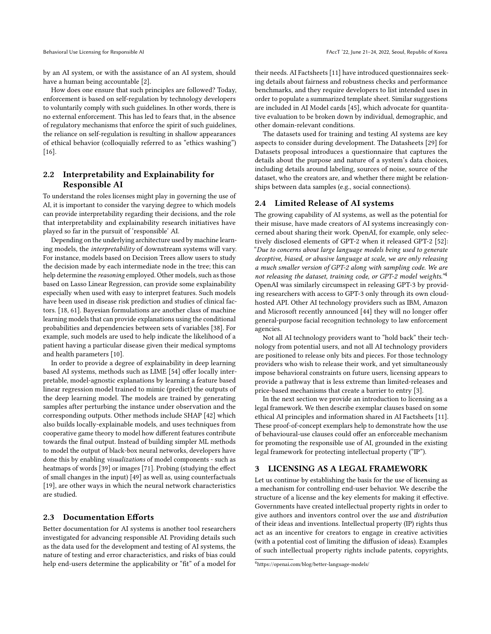by an AI system, or with the assistance of an AI system, should have a human being accountable [\[2\]](#page-9-21).

How does one ensure that such principles are followed? Today, enforcement is based on self-regulation by technology developers to voluntarily comply with such guidelines. In other words, there is no external enforcement. This has led to fears that, in the absence of regulatory mechanisms that enforce the spirit of such guidelines, the reliance on self-regulation is resulting in shallow appearances of ethical behavior (colloquially referred to as "ethics washing") [\[16\]](#page-9-9).

# 2.2 Interpretability and Explainability for Responsible AI

To understand the roles licenses might play in governing the use of AI, it is important to consider the varying degree to which models can provide interpretability regarding their decisions, and the role that interpretability and explainability research initiatives have played so far in the pursuit of 'responsible' AI.

Depending on the underlying architecture used by machine learning models, the interpretability of downstream systems will vary. For instance, models based on Decision Trees allow users to study the decision made by each intermediate node in the tree; this can help determine the reasoning employed. Other models, such as those based on Lasso Linear Regression, can provide some explainability especially when used with easy to interpret features. Such models have been used in disease risk prediction and studies of clinical factors. [\[18,](#page-9-22) [61\]](#page-10-16). Bayesian formulations are another class of machine learning models that can provide explanations using the conditional probabilities and dependencies between sets of variables [\[38\]](#page-9-23). For example, such models are used to help indicate the likelihood of a patient having a particular disease given their medical symptoms and health parameters [\[10\]](#page-9-24).

In order to provide a degree of explainability in deep learning based AI systems, methods such as LIME [\[54\]](#page-10-17) offer locally interpretable, model-agnostic explanations by learning a feature based linear regression model trained to mimic (predict) the outputs of the deep learning model. The models are trained by generating samples after perturbing the instance under observation and the corresponding outputs. Other methods include SHAP [\[42\]](#page-9-25) which also builds locally-explainable models, and uses techniques from cooperative game theory to model how different features contribute towards the final output. Instead of building simpler ML methods to model the output of black-box neural networks, developers have done this by enabling visualizations of model components - such as heatmaps of words [\[39\]](#page-9-26) or images [\[71\]](#page-10-18). Probing (studying the effect of small changes in the input) [\[49\]](#page-10-19) as well as, using counterfactuals [\[19\]](#page-9-27), are other ways in which the neural network characteristics are studied.

## 2.3 Documentation Efforts

Better documentation for AI systems is another tool researchers investigated for advancing responsible AI. Providing details such as the data used for the development and testing of AI systems, the nature of testing and error characteristics, and risks of bias could help end-users determine the applicability or "fit" of a model for their needs. AI Factsheets [\[11\]](#page-9-13) have introduced questionnaires seeking details about fairness and robustness checks and performance benchmarks, and they require developers to list intended uses in order to populate a summarized template sheet. Similar suggestions are included in AI Model cards [\[45\]](#page-10-20), which advocate for quantitative evaluation to be broken down by individual, demographic, and other domain-relevant conditions.

The datasets used for training and testing AI systems are key aspects to consider during development. The Datasheets [\[29\]](#page-9-28) for Datasets proposal introduces a questionnaire that captures the details about the purpose and nature of a system's data choices, including details around labeling, sources of noise, source of the dataset, who the creators are, and whether there might be relationships between data samples (e.g., social connections).

# 2.4 Limited Release of AI systems

The growing capability of AI systems, as well as the potential for their misuse, have made creators of AI systems increasingly concerned about sharing their work. OpenAI, for example, only selectively disclosed elements of GPT-2 when it released GPT-2 [\[52\]](#page-10-21): "Due to concerns about large language models being used to generate deceptive, biased, or abusive language at scale, we are only releasing a much smaller version of GPT-2 along with sampling code. We are not releasing the dataset, training code, or GPT-2 model weights."[4](#page-2-0) OpenAI was similarly circumspect in releasing GPT-3 by providing researchers with access to GPT-3 only through its own cloudhosted API. Other AI technology providers such as IBM, Amazon and Microsoft recently announced [\[44\]](#page-10-22) they will no longer offer general-purpose facial recognition technology to law enforcement agencies.

Not all AI technology providers want to "hold back" their technology from potential users, and not all AI technology providers are positioned to release only bits and pieces. For those technology providers who wish to release their work, and yet simultaneously impose behavioral constraints on future users, licensing appears to provide a pathway that is less extreme than limited-releases and price-based mechanisms that create a barrier to entry [\[3\]](#page-9-29).

In the next section we provide an introduction to licensing as a legal framework. We then describe exemplar clauses based on some ethical AI principles and information shared in AI Factsheets [\[11\]](#page-9-13). These proof-of-concept exemplars help to demonstrate how the use of behavioural-use clauses could offer an enforceable mechanism for promoting the responsible use of AI, grounded in the existing legal framework for protecting intellectual property ("IP").

#### 3 LICENSING AS A LEGAL FRAMEWORK

Let us continue by establishing the basis for the use of licensing as a mechanism for controlling end-user behavior. We describe the structure of a license and the key elements for making it effective. Governments have created intellectual property rights in order to give authors and inventors control over the use and distribution of their ideas and inventions. Intellectual property (IP) rights thus act as an incentive for creators to engage in creative activities (with a potential cost of limiting the diffusion of ideas). Examples of such intellectual property rights include patents, copyrights,

<span id="page-2-0"></span><sup>4</sup>https://openai.com/blog/better-language-models/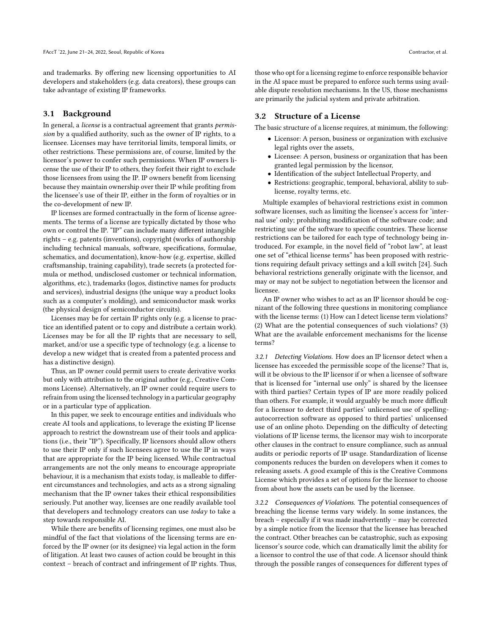and trademarks. By offering new licensing opportunities to AI developers and stakeholders (e.g. data creators), these groups can take advantage of existing IP frameworks.

#### 3.1 Background

In general, a license is a contractual agreement that grants permission by a qualified authority, such as the owner of IP rights, to a licensee. Licenses may have territorial limits, temporal limits, or other restrictions. These permissions are, of course, limited by the licensor's power to confer such permissions. When IP owners license the use of their IP to others, they forfeit their right to exclude those licensees from using the IP. IP owners benefit from licensing because they maintain ownership over their IP while profiting from the licensee's use of their IP, either in the form of royalties or in the co-development of new IP.

IP licenses are formed contractually in the form of license agreements. The terms of a license are typically dictated by those who own or control the IP. "IP" can include many different intangible rights – e.g. patents (inventions), copyright (works of authorship including technical manuals, software, specifications, formulae, schematics, and documentation), know-how (e.g. expertise, skilled craftsmanship, training capability), trade secrets (a protected formula or method, undisclosed customer or technical information, algorithms, etc.), trademarks (logos, distinctive names for products and services), industrial designs (the unique way a product looks such as a computer's molding), and semiconductor mask works (the physical design of semiconductor circuits).

Licenses may be for certain IP rights only (e.g. a license to practice an identified patent or to copy and distribute a certain work). Licenses may be for all the IP rights that are necessary to sell, market, and/or use a specific type of technology (e.g. a license to develop a new widget that is created from a patented process and has a distinctive design).

Thus, an IP owner could permit users to create derivative works but only with attribution to the original author (e.g., Creative Commons License). Alternatively, an IP owner could require users to refrain from using the licensed technology in a particular geography or in a particular type of application.

In this paper, we seek to encourage entities and individuals who create AI tools and applications, to leverage the existing IP license approach to restrict the downstream use of their tools and applications (i.e., their "IP"). Specifically, IP licensors should allow others to use their IP only if such licensees agree to use the IP in ways that are appropriate for the IP being licensed. While contractual arrangements are not the only means to encourage appropriate behaviour, it is a mechanism that exists today, is malleable to different circumstances and technologies, and acts as a strong signaling mechanism that the IP owner takes their ethical responsibilities seriously. Put another way, licenses are one readily available tool that developers and technology creators can use  $today$  to take a step towards responsible AI.

While there are benefits of licensing regimes, one must also be mindful of the fact that violations of the licensing terms are enforced by the IP owner (or its designee) via legal action in the form of litigation. At least two causes of action could be brought in this context – breach of contract and infringement of IP rights. Thus, those who opt for a licensing regime to enforce responsible behavior in the AI space must be prepared to enforce such terms using available dispute resolution mechanisms. In the US, those mechanisms are primarily the judicial system and private arbitration.

#### 3.2 Structure of a License

The basic structure of a license requires, at minimum, the following:

- Licensor: A person, business or organization with exclusive legal rights over the assets,
- Licensee: A person, business or organization that has been granted legal permission by the licensor,
- Identification of the subject Intellectual Property, and
- Restrictions: geographic, temporal, behavioral, ability to sublicense, royalty terms, etc.

Multiple examples of behavioral restrictions exist in common software licenses, such as limiting the licensee's access for 'internal use' only; prohibiting modification of the software code; and restricting use of the software to specific countries. These license restrictions can be tailored for each type of technology being introduced. For example, in the novel field of "robot law", at least one set of "ethical license terms" has been proposed with restrictions requiring default privacy settings and a kill switch [\[24\]](#page-9-30). Such behavioral restrictions generally originate with the licensor, and may or may not be subject to negotiation between the licensor and licensee.

An IP owner who wishes to act as an IP licensor should be cognizant of the following three questions in monitoring compliance with the license terms: (1) How can I detect license term violations? (2) What are the potential consequences of such violations? (3) What are the available enforcement mechanisms for the license terms?

3.2.1 Detecting Violations. How does an IP licensor detect when a licensee has exceeded the permissible scope of the license? That is, will it be obvious to the IP licensor if or when a licensee of software that is licensed for "internal use only" is shared by the licensee with third parties? Certain types of IP are more readily policed than others. For example, it would arguably be much more difficult for a licensor to detect third parties' unlicensed use of spellingautocorrection software as opposed to third parties' unlicensed use of an online photo. Depending on the difficulty of detecting violations of IP license terms, the licensor may wish to incorporate other clauses in the contract to ensure compliance, such as annual audits or periodic reports of IP usage. Standardization of license components reduces the burden on developers when it comes to releasing assets. A good example of this is the Creative Commons License which provides a set of options for the licensor to choose from about how the assets can be used by the licensee.

3.2.2 Consequences of Violations. The potential consequences of breaching the license terms vary widely. In some instances, the breach – especially if it was made inadvertently – may be corrected by a simple notice from the licensor that the licensee has breached the contract. Other breaches can be catastrophic, such as exposing licensor's source code, which can dramatically limit the ability for a licensor to control the use of that code. A licensor should think through the possible ranges of consequences for different types of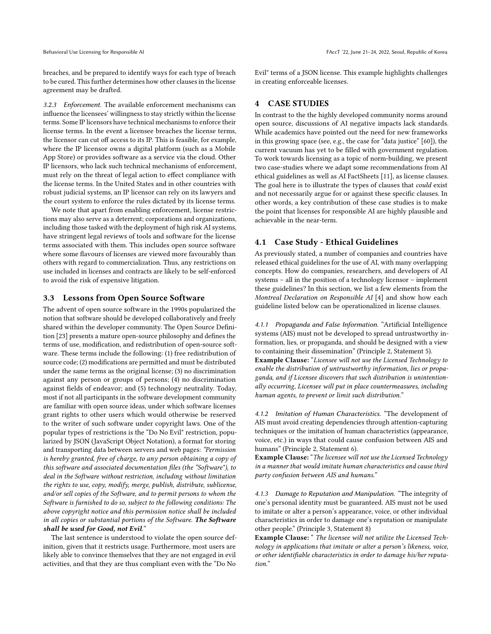breaches, and be prepared to identify ways for each type of breach to be cured. This further determines how other clauses in the license agreement may be drafted.

3.2.3 Enforcement. The available enforcement mechanisms can influence the licensees' willingness to stay strictly within the license terms. Some IP licensors have technical mechanisms to enforce their license terms. In the event a licensee breaches the license terms, the licensor can cut off access to its IP. This is feasible, for example, where the IP licensor owns a digital platform (such as a Mobile App Store) or provides software as a service via the cloud. Other IP licensors, who lack such technical mechanisms of enforcement, must rely on the threat of legal action to effect compliance with the license terms. In the United States and in other countries with robust judicial systems, an IP licensor can rely on its lawyers and the court system to enforce the rules dictated by its license terms.

We note that apart from enabling enforcement, license restrictions may also serve as a deterrent; corporations and organizations, including those tasked with the deployment of high risk AI systems, have stringent legal reviews of tools and software for the license terms associated with them. This includes open source software where some flavours of licenses are viewed more favourably than others with regard to commercialization. Thus, any restrictions on use included in licenses and contracts are likely to be self-enforced to avoid the risk of expensive litigation.

## 3.3 Lessons from Open Source Software

The advent of open source software in the 1990s popularized the notion that software should be developed collaboratively and freely shared within the developer community. The Open Source Definition [\[23\]](#page-9-31) presents a mature open-source philosophy and defines the terms of use, modification, and redistribution of open-source software. These terms include the following: (1) free redistribution of source code; (2) modifications are permitted and must be distributed under the same terms as the original license; (3) no discrimination against any person or groups of persons; (4) no discrimination against fields of endeavor; and (5) technology neutrality. Today, most if not all participants in the software development community are familiar with open source ideas, under which software licenses grant rights to other users which would otherwise be reserved to the writer of such software under copyright laws. One of the popular types of restrictions is the "Do No Evil" restriction, popularized by JSON (JavaScript Object Notation), a format for storing and transporting data between servers and web pages: "Permission is hereby granted, free of charge, to any person obtaining a copy of this software and associated documentation files (the "Software"), to deal in the Software without restriction, including without limitation the rights to use, copy, modify, merge, publish, distribute, sublicense, and/or sell copies of the Software, and to permit persons to whom the Software is furnished to do so, subject to the following conditions: The above copyright notice and this permission notice shall be included in all copies or substantial portions of the Software. The Software shall be used for Good, not Evil."

The last sentence is understood to violate the open source definition, given that it restricts usage. Furthermore, most users are likely able to convince themselves that they are not engaged in evil activities, and that they are thus compliant even with the "Do No

Evil" terms of a JSON license. This example highlights challenges in creating enforceable licenses.

## 4 CASE STUDIES

In contrast to the the highly developed community norms around open source, discussions of AI negative impacts lack standards. While academics have pointed out the need for new frameworks in this growing space (see, e.g., the case for "data justice" [\[60\]](#page-10-23)), the current vacuum has yet to be filled with government regulation. To work towards licensing as a topic of norm-building, we present two case-studies where we adapt some recommendations from AI ethical guidelines as well as AI FactSheets [\[11\]](#page-9-13), as license clauses. The goal here is to illustrate the types of clauses that *could* exist and not necessarily argue for or against these specific clauses. In other words, a key contribution of these case studies is to make the point that licenses for responsible AI are highly plausible and achievable in the near-term.

## <span id="page-4-0"></span>4.1 Case Study - Ethical Guidelines

As previously stated, a number of companies and countries have released ethical guidelines for the use of AI, with many overlapping concepts. How do companies, researchers, and developers of AI systems – all in the position of a technology licensor – implement these guidelines? In this section, we list a few elements from the Montreal Declaration on Responsible AI [\[4\]](#page-9-20) and show how each guideline listed below can be operationalized in license clauses.

4.1.1 Propaganda and False Information. "Artificial Intelligence systems (AIS) must not be developed to spread untrustworthy information, lies, or propaganda, and should be designed with a view to containing their dissemination" (Principle 2, Statement 5). Example Clause: "Licensee will not use the Licensed Technology to enable the distribution of untrustworthy information, lies or propaganda, and if Licensee discovers that such distribution is unintentionally occurring, Licensee will put in place countermeasures, including human agents, to prevent or limit such distribution."

4.1.2 Imitation of Human Characteristics. "The development of AIS must avoid creating dependencies through attention-capturing techniques or the imitation of human characteristics (appearance, voice, etc.) in ways that could cause confusion between AIS and humans" (Principle 2, Statement 6).

Example Clause: "The licensee will not use the Licensed Technology in a manner that would imitate human characteristics and cause third party confusion between AIS and humans."

4.1.3 Damage to Reputation and Manipulation. "The integrity of one's personal identity must be guaranteed. AIS must not be used to imitate or alter a person's appearance, voice, or other individual characteristics in order to damage one's reputation or manipulate other people." (Principle 3, Statement 8)

Example Clause: " The licensee will not utilize the Licensed Technology in applications that imitate or alter a person's likeness, voice, or other identifiable characteristics in order to damage his/her reputation."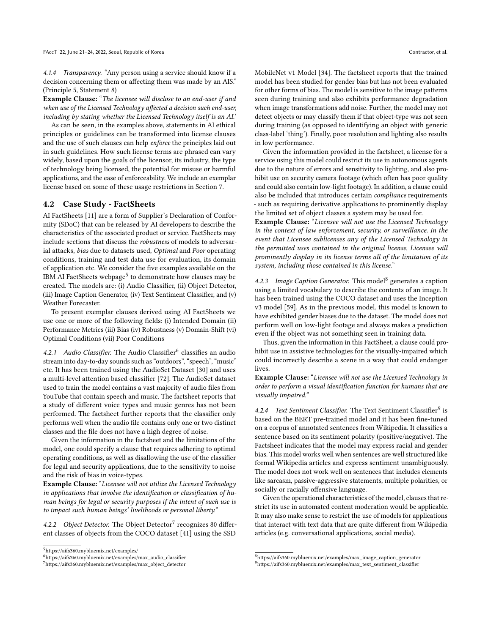4.1.4 Transparency. "Any person using a service should know if a decision concerning them or affecting them was made by an AIS." (Principle 5, Statement 8)

Example Clause: "The licensee will disclose to an end-user if and when use of the Licensed Technology affected a decision such end-user, including by stating whether the Licensed Technology itself is an AI.'

As can be seen, in the examples above, statements in AI ethical principles or guidelines can be transformed into license clauses and the use of such clauses can help enforce the principles laid out in such guidelines. How such license terms are phrased can vary widely, based upon the goals of the licensor, its industry, the type of technology being licensed, the potential for misuse or harmful applications, and the ease of enforceability. We include an exemplar license based on some of these usage restrictions in Section [7.](#page-8-0)

## 4.2 Case Study - FactSheets

AI FactSheets [\[11\]](#page-9-13) are a form of Supplier's Declaration of Conformity (SDoC) that can be released by AI developers to describe the characteristics of the associated product or service. FactSheets may include sections that discuss the robustness of models to adversarial attacks, bias due to datasets used, Optimal and Poor operating conditions, training and test data use for evaluation, its domain of application etc. We consider the five examples available on the IBM AI FactSheets webpage $^5$  $^5$  to demonstrate how clauses may be created. The models are: (i) Audio Classifier, (ii) Object Detector, (iii) Image Caption Generator, (iv) Text Sentiment Classifier, and (v) Weather Forecaster.

To present exemplar clauses derived using AI FactSheets we use one or more of the following fields: (i) Intended Domain (ii) Performance Metrics (iii) Bias (iv) Robustness (v) Domain-Shift (vi) Optimal Conditions (vii) Poor Conditions

4.2.1 Audio Classifier. The Audio Classifier<sup>[6](#page-5-1)</sup> classifies an audio stream into day-to-day sounds such as "outdoors", "speech", "music" etc. It has been trained using the AudioSet Dataset [\[30\]](#page-9-32) and uses a multi-level attention based classifier [\[72\]](#page-10-24). The AudioSet dataset used to train the model contains a vast majority of audio files from YouTube that contain speech and music. The factsheet reports that a study of different voice types and music genres has not been performed. The factsheet further reports that the classifier only performs well when the audio file contains only one or two distinct classes and the file does not have a high degree of noise.

Given the information in the factsheet and the limitations of the model, one could specify a clause that requires adhering to optimal operating conditions, as well as disallowing the use of the classifier for legal and security applications, due to the sensitivity to noise and the risk of bias in voice-types.

Example Clause: "Licensee will not utilize the Licensed Technology in applications that involve the identification or classification of human beings for legal or security purposes if the intent of such use is to impact such human beings' livelihoods or personal liberty."

4.2.2 Object Detector. The Object Detector<sup>[7](#page-5-2)</sup> recognizes 80 different classes of objects from the COCO dataset [\[41\]](#page-9-33) using the SSD

MobileNet v1 Model [\[34\]](#page-9-34). The factsheet reports that the trained model has been studied for gender bias but has not been evaluated for other forms of bias. The model is sensitive to the image patterns seen during training and also exhibits performance degradation when image transformations add noise. Further, the model may not detect objects or may classify them if that object-type was not seen during training (as opposed to identifying an object with generic class-label 'thing'). Finally, poor resolution and lighting also results in low performance.

Given the information provided in the factsheet, a license for a service using this model could restrict its use in autonomous agents due to the nature of errors and sensitivity to lighting, and also prohibit use on security camera footage (which often has poor quality and could also contain low-light footage). In addition, a clause could also be included that introduces certain compliance requirements - such as requiring derivative applications to prominently display the limited set of object classes a system may be used for.

Example Clause: "Licensee will not use the Licensed Technology in the context of law enforcement, security, or surveillance. In the event that Licensee sublicenses any of the Licensed Technology in the permitted uses contained in the original license, Licensee will prominently display in its license terms all of the limitation of its system, including those contained in this license."

4.2.3 Image Caption Generator. This model<sup>[8](#page-5-3)</sup> generates a caption using a limited vocabulary to describe the contents of an image. It has been trained using the COCO dataset and uses the Inception v3 model [\[59\]](#page-10-25). As in the previous model, this model is known to have exhibited gender biases due to the dataset. The model does not perform well on low-light footage and always makes a prediction even if the object was not something seen in training data.

Thus, given the information in this FactSheet, a clause could prohibit use in assistive technologies for the visually-impaired which could incorrectly describe a scene in a way that could endanger lives.

Example Clause: "Licensee will not use the Licensed Technology in order to perform a visual identification function for humans that are visually impaired."

4.2.4 Text Sentiment Classifier. The Text Sentiment Classifier<sup>[9](#page-5-4)</sup> is based on the BERT pre-trained model and it has been fine-tuned on a corpus of annotated sentences from Wikipedia. It classifies a sentence based on its sentiment polarity (positive/negative). The Factsheet indicates that the model may express racial and gender bias. This model works well when sentences are well structured like formal Wikipedia articles and express sentiment unambiguously. The model does not work well on sentences that includes elements like sarcasm, passive-aggressive statements, multiple polarities, or socially or racially offensive language.

Given the operational characteristics of the model, clauses that restrict its use in automated content moderation would be applicable. It may also make sense to restrict the use of models for applications that interact with text data that are quite different from Wikipedia articles (e.g. conversational applications, social media).

<span id="page-5-0"></span><sup>5</sup>https://aifs360.mybluemix.net/examples/

<span id="page-5-1"></span><sup>6</sup>https://aifs360.mybluemix.net/examples/max\_audio\_classifier

<span id="page-5-2"></span><sup>7</sup>https://aifs360.mybluemix.net/examples/max\_object\_detector

<span id="page-5-4"></span><span id="page-5-3"></span> $8$ https://aifs360.mybluemix.net/examples/max\_image\_caption\_generator <sup>9</sup>https://aifs360.mybluemix.net/examples/max\_text\_sentiment\_classifier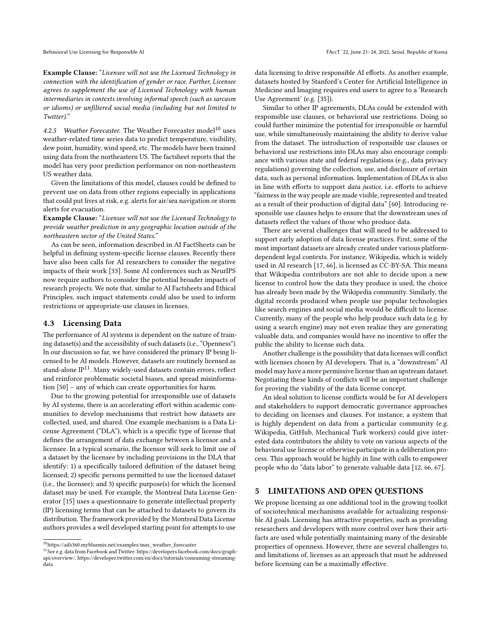Example Clause: "Licensee will not use the Licensed Technology in connection with the identification of gender or race. Further, Licensee agrees to supplement the use of Licensed Technology with human intermediaries in contexts involving informal speech (such as sarcasm or idioms) or unfiltered social media (including but not limited to Twitter)."

4.2.5 Weather Forecaster. The Weather Forecaster model<sup>[10](#page-6-0)</sup> uses weather-related time series data to predict temperature, visibility, dew point, humidity, wind speed, etc. The models have been trained using data from the northeastern US. The factsheet reports that the model has very poor prediction performance on non-northeastern US weather data.

Given the limitations of this model, clauses could be defined to prevent use on data from other regions especially in applications that could put lives at risk, e.g. alerts for air/sea navigation or storm alerts for evacuation.

Example Clause: "Licensee will not use the Licensed Technology to provide weather prediction in any geographic location outside of the northeastern sector of the United States."

As can be seen, information described in AI FactSheets can be helpful in defining system-specific license clauses. Recently there have also been calls for AI researchers to consider the negative impacts of their work [\[33\]](#page-9-35). Some AI conferences such as NeurIPS now require authors to consider the potential broader impacts of research projects. We note that, similar to AI Factsheets and Ethical Principles, such impact statements could also be used to inform restrictions or appropriate-use clauses in licenses.

# 4.3 Licensing Data

The performance of AI systems is dependent on the nature of training dataset(s) and the accessibility of such datasets (i.e., "Openness"). In our discussion so far, we have considered the primary IP being licensed to be AI models. However, datasets are routinely licensed as stand-alone  $IP<sup>11</sup>$  $IP<sup>11</sup>$  $IP<sup>11</sup>$ . Many widely-used datasets contain errors, reflect and reinforce problematic societal biases, and spread misinformation [\[50\]](#page-10-26) – any of which can create opportunities for harm.

Due to the growing potential for irresponsible use of datasets by AI systems, there is an accelerating effort within academic communities to develop mechanisms that restrict how datasets are collected, used, and shared. One example mechanism is a Data License Agreement ("DLA"), which is a specific type of license that defines the arrangement of data exchange between a licensor and a licensee. In a typical scenario, the licensor will seek to limit use of a dataset by the licensee by including provisions in the DLA that identify: 1) a specifically tailored definition of the dataset being licensed; 2) specific persons permitted to use the licensed dataset (i.e., the licensee); and 3) specific purpose(s) for which the licensed dataset may be used. For example, the Montreal Data License Generator [\[15\]](#page-9-36) uses a questionnaire to generate intellectual property (IP) licensing terms that can be attached to datasets to govern its distribution. The framework provided by the Montreal Data License authors provides a well developed starting point for attempts to use

data licensing to drive responsible AI efforts. As another example, datasets hosted by Stanford's Center for Artificial Intelligence in Medicine and Imaging requires end users to agree to a 'Research Use Agreement' (e.g. [\[35\]](#page-9-37)).

Similar to other IP agreements, DLAs could be extended with responsible use clauses, or behavioral use restrictions. Doing so could further minimize the potential for irresponsible or harmful use, while simultaneously maintaining the ability to derive value from the dataset. The introduction of responsible use clauses or behavioral use restrictions into DLAs may also encourage compliance with various state and federal regulations (e.g., data privacy regulations) governing the collection, use, and disclosure of certain data, such as personal information. Implementation of DLAs is also in line with efforts to support data justice, i.e. efforts to achieve "fairness in the way people are made visible, represented and treated as a result of their production of digital data" [\[60\]](#page-10-23). Introducing responsible use clauses helps to ensure that the downstream uses of datasets reflect the values of those who produce data.

There are several challenges that will need to be addressed to support early adoption of data license practices. First, some of the most important datasets are already created under various platformdependent legal contexts. For instance, Wikipedia, which is widely used in AI research [\[17,](#page-9-2) [66\]](#page-10-27), is licensed as CC-BY-SA. This means that Wikipedia contributors are not able to decide upon a new license to control how the data they produce is used; the choice has already been made by the Wikipedia community. Similarly, the digital records produced when people use popular technologies like search engines and social media would be difficult to license. Currently, many of the people who help produce such data (e.g. by using a search engine) may not even realize they are generating valuable data, and companies would have no incentive to offer the public the ability to license such data.

Another challenge is the possibility that data licenses will conflict with licenses chosen by AI developers. That is, a "downstream" AI model may have a more permissive license than an upstream dataset. Negotiating these kinds of conflicts will be an important challenge for proving the viability of the data license concept.

An ideal solution to license conflicts would be for AI developers and stakeholders to support democratic governance approaches to deciding on licenses and clauses. For instance, a system that is highly dependent on data from a particular community (e.g. Wikipedia, GitHub, Mechanical Turk workers) could give interested data contributors the ability to vote on various aspects of the behavioral use license or otherwise participate in a deliberation process. This approach would be highly in line with calls to empower people who do "data labor" to generate valuable data [\[12,](#page-9-38) [66,](#page-10-27) [67\]](#page-10-28).

#### 5 LIMITATIONS AND OPEN QUESTIONS

We propose licensing as one additional tool in the growing toolkit of sociotechnical mechanisms available for actualizing responsible AI goals. Licensing has attractive properties, such as providing researchers and developers with more control over how their artifacts are used while potentially maintaining many of the desirable properties of openness. However, there are several challenges to, and limitations of, licenses as an approach that must be addressed before licensing can be a maximally effective.

<span id="page-6-0"></span> $^{10}\mathrm{https://aifs360.mybluemix.net/examples/max\_weather\_forecaster}$ 

<span id="page-6-1"></span> $^{11}$  See e.g. data from Facebook and Twitter: https://developers.facebook.com/docs/graphapi/overview/, https://developer.twitter.com/en/docs/tutorials/consuming-streamingdata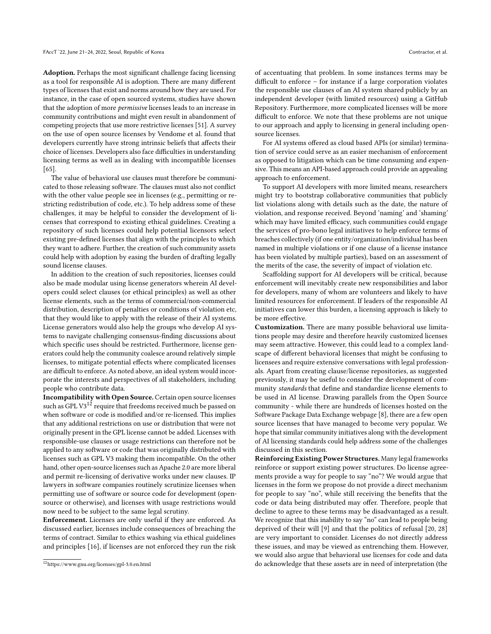Adoption. Perhaps the most significant challenge facing licensing as a tool for responsible AI is adoption. There are many different types of licenses that exist and norms around how they are used. For instance, in the case of open sourced systems, studies have shown that the adoption of more permissive licenses leads to an increase in community contributions and might even result in abandonment of competing projects that use more restrictive licenses [\[51\]](#page-10-29). A survey on the use of open source licenses by [Vendome et al.](#page-10-30) found that developers currently have strong intrinsic beliefs that affects their choice of licenses. Developers also face difficulties in understanding licensing terms as well as in dealing with incompatible licenses [\[65\]](#page-10-30).

The value of behavioral use clauses must therefore be communicated to those releasing software. The clauses must also not conflict with the other value people see in licenses (e.g., permitting or restricting redistribution of code, etc.). To help address some of these challenges, it may be helpful to consider the development of licenses that correspond to existing ethical guidelines. Creating a repository of such licenses could help potential licensors select existing pre-defined licenses that align with the principles to which they want to adhere. Further, the creation of such community assets could help with adoption by easing the burden of drafting legally sound license clauses.

In addition to the creation of such repositories, licenses could also be made modular using license generators wherein AI developers could select clauses (or ethical principles) as well as other license elements, such as the terms of commercial/non-commercial distribution, description of penalties or conditions of violation etc, that they would like to apply with the release of their AI systems. License generators would also help the groups who develop AI systems to navigate challenging consensus-finding discussions about which specific uses should be restricted. Furthermore, license generators could help the community coalesce around relatively simple licenses, to mitigate potential effects where complicated licenses are difficult to enforce. As noted above, an ideal system would incorporate the interests and perspectives of all stakeholders, including people who contribute data.

Incompatibility with Open Source. Certain open source licenses such as GPL V3<sup>[12](#page-7-0)</sup> require that freedoms received much be passed on when software or code is modified and/or re-licensed. This implies that any additional restrictions on use or distribution that were not originally present in the GPL license cannot be added. Licenses with responsible-use clauses or usage restrictions can therefore not be applied to any software or code that was originally distributed with licenses such as GPL V3 making them incompatible. On the other hand, other open-source licenses such as Apache 2.0 are more liberal and permit re-licensing of derivative works under new clauses. IP lawyers in software companies routinely scrutinize licenses when permitting use of software or source code for development (opensource or otherwise), and licenses with usage restrictions would now need to be subject to the same legal scrutiny.

Enforcement. Licenses are only useful if they are enforced. As discussed earlier, licenses include consequences of breaching the terms of contract. Similar to ethics washing via ethical guidelines and principles [\[16\]](#page-9-9), if licenses are not enforced they run the risk of accentuating that problem. In some instances terms may be difficult to enforce – for instance if a large corporation violates the responsible use clauses of an AI system shared publicly by an independent developer (with limited resources) using a GitHub Repository. Furthermore, more complicated licenses will be more difficult to enforce. We note that these problems are not unique to our approach and apply to licensing in general including opensource licenses.

For AI systems offered as cloud based APIs (or similar) termination of service could serve as an easier mechanism of enforcement as opposed to litigation which can be time consuming and expensive. This means an API-based approach could provide an appealing approach to enforcement.

To support AI developers with more limited means, researchers might try to bootstrap collaborative communities that publicly list violations along with details such as the date, the nature of violation, and response received. Beyond 'naming' and 'shaming' which may have limited efficacy, such communities could engage the services of pro-bono legal initiatives to help enforce terms of breaches collectively (if one entity/organization/individual has been named in multiple violations or if one clause of a license instance has been violated by multiple parties), based on an assessment of the merits of the case, the severity of impact of violation etc.

Scaffolding support for AI developers will be critical, because enforcement will inevitably create new responsibilities and labor for developers, many of whom are volunteers and likely to have limited resources for enforcement. If leaders of the responsible AI initiatives can lower this burden, a licensing approach is likely to be more effective.

Customization. There are many possible behavioral use limitations people may desire and therefore heavily customized licenses may seem attractive. However, this could lead to a complex landscape of different behavioral licenses that might be confusing to licensees and require extensive conversations with legal professionals. Apart from creating clause/license repositories, as suggested previously, it may be useful to consider the development of community standards that define and standardize license elements to be used in AI license. Drawing parallels from the Open Source community - while there are hundreds of licenses hosted on the Software Package Data Exchange webpage [\[8\]](#page-9-39), there are a few open source licenses that have managed to become very popular. We hope that similar community initiatives along with the development of AI licensing standards could help address some of the challenges discussed in this section.

Reinforcing Existing Power Structures. Many legal frameworks reinforce or support existing power structures. Do license agreements provide a way for people to say "no"? We would argue that licenses in the form we propose do not provide a direct mechanism for people to say "no", while still receiving the benefits that the code or data being distributed may offer. Therefore, people that decline to agree to these terms may be disadvantaged as a result. We recognize that this inability to say "no" can lead to people being deprived of their will [\[9\]](#page-9-40) and that the politics of refusal [\[20,](#page-9-41) [28\]](#page-9-42) are very important to consider. Licenses do not directly address these issues, and may be viewed as entrenching them. However, we would also argue that behavioral use licenses for code and data do acknowledge that these assets are in need of interpretation (the

<span id="page-7-0"></span><sup>12</sup>https://www.gnu.org/licenses/gpl-3.0.en.html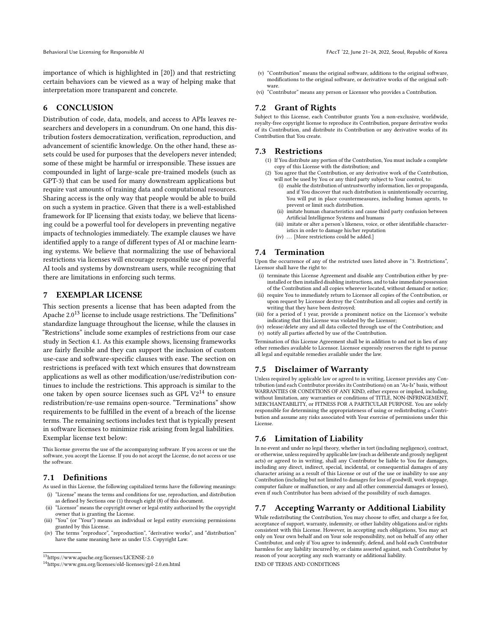importance of which is highlighted in [\[20\]](#page-9-41)) and that restricting certain behaviors can be viewed as a way of helping make that interpretation more transparent and concrete.

## 6 CONCLUSION

Distribution of code, data, models, and access to APIs leaves researchers and developers in a conundrum. On one hand, this distribution fosters democratization, verification, reproduction, and advancement of scientific knowledge. On the other hand, these assets could be used for purposes that the developers never intended; some of these might be harmful or irresponsible. These issues are compounded in light of large-scale pre-trained models (such as GPT-3) that can be used for many downstream applications but require vast amounts of training data and computational resources. Sharing access is the only way that people would be able to build on such a system in practice. Given that there is a well-established framework for IP licensing that exists today, we believe that licensing could be a powerful tool for developers in preventing negative impacts of technologies immediately. The example clauses we have identified apply to a range of different types of AI or machine learning systems. We believe that normalizing the use of behavioral restrictions via licenses will encourage responsible use of powerful AI tools and systems by downstream users, while recognizing that there are limitations in enforcing such terms.

# <span id="page-8-0"></span>7 EXEMPLAR LICENSE

This section presents a license that has been adapted from the Apache 2.0<sup>[13](#page-8-1)</sup> license to include usage restrictions. The "Definitions" standardize language throughout the license, while the clauses in "Restrictions" include some examples of restrictions from our case study in Section [4.1.](#page-4-0) As this example shows, licensing frameworks are fairly flexible and they can support the inclusion of custom use-case and software-specific clauses with ease. The section on restrictions is prefaced with text which ensures that downstream applications as well as other modification/use/redistribution continues to include the restrictions. This approach is similar to the one taken by open source licenses such as GPL  $V2^{14}$  $V2^{14}$  $V2^{14}$  to ensure redistribution/re-use remains open-source. "Terminations" show requirements to be fulfilled in the event of a breach of the license terms. The remaining sections includes text that is typically present in software licenses to minimize risk arising from legal liabilities. Exemplar license text below:

This license governs the use of the accompanying software. If you access or use the software, you accept the License. If you do not accept the License, do not access or use the software.

# 7.1 Definitions

- As used in this License, the following capitalized terms have the following meanings: (i) "License" means the terms and conditions for use, reproduction, and distribution
- as defined by Sections one (1) through eight (8) of this document. (ii) "Licensor" means the copyright owner or legal entity authorized by the copyright
- owner that is granting the License. (iii) "You" (or "Your") means an individual or legal entity exercising permissions granted by this License.
- (iv) The terms "reproduce", "reproduction", "derivative works", and "distribution" have the same meaning here as under U.S. Copyright Law.
- (v) "Contribution" means the original software, additions to the original software, modifications to the original software, or derivative works of the original software.
- (vi) "Contributor" means any person or Licensor who provides a Contribution.

# 7.2 Grant of Rights

Subject to this License, each Contributor grants You a non-exclusive, worldwide, royalty-free copyright license to reproduce its Contribution, prepare derivative works of its Contribution, and distribute its Contribution or any derivative works of its Contribution that You create.

## 7.3 Restrictions

- (1) If You distribute any portion of the Contribution, You must include a complete copy of this License with the distribution; and
- (2) You agree that the Contribution, or any derivative work of the Contribution, will not be used by You or any third party subject to Your control, to:
	- (i) enable the distribution of untrustworthy information, lies or propaganda, and if You discover that such distribution is unintentionally occurring, You will put in place countermeasures, including human agents, to prevent or limit such distribution.
	- (ii) imitate human characteristics and cause third party confusion between Artificial Intelligence Systems and humans
	- (iii) imitate or alter a person's likeness, voice, or other identifiable characteristics in order to damage his/her reputation
	- (iv) ... [More restrictions could be added.]

#### 7.4 Termination

Upon the occurrence of any of the restricted uses listed above in "3. Restrictions", Licensor shall have the right to:

- (i) terminate this License Agreement and disable any Contribution either by preinstalled or then installed disabling instructions, and to take immediate possession of the Contribution and all copies wherever located, without demand or notice;
- (ii) require You to immediately return to Licensor all copies of the Contribution, or upon request by Licensor destroy the Contribution and all copies and certify in writing that they have been destroyed;
- (iii) for a period of 1 year, provide a prominent notice on the Licensor's website indicating that this License was violated by the Licensor;
- (iv) release/delete any and all data collected through use of the Contribution; and (v) notify all parties affected by use of the Contribution.

Termination of this License Agreement shall be in addition to and not in lieu of any other remedies available to Licensor. Licensor expressly reserves the right to pursue all legal and equitable remedies available under the law.

#### 7.5 Disclaimer of Warranty

Unless required by applicable law or agreed to in writing, Licensor provides any Contribution (and each Contributor provides its Contributions) on an "As-Is" basis, without WARRANTIES OR CONDITIONS OF ANY KIND, either express or implied, including, without limitation, any warranties or conditions of TITLE, NON-INFRINGEMENT, MERCHANTABILITY, or FITNESS FOR A PARTICULAR PURPOSE. You are solely responsible for determining the appropriateness of using or redistributing a Contribution and assume any risks associated with Your exercise of permissions under this License.

#### 7.6 Limitation of Liability

In no event and under no legal theory, whether in tort (including negligence), contract, or otherwise, unless required by applicable law (such as deliberate and grossly negligent acts) or agreed to in writing, shall any Contributor be liable to You for damages, including any direct, indirect, special, incidental, or consequential damages of any character arising as a result of this License or out of the use or inability to use any Contribution (including but not limited to damages for loss of goodwill, work stoppage, computer failure or malfunction, or any and all other commercial damages or losses), even if such Contributor has been advised of the possibility of such damages.

# 7.7 Accepting Warranty or Additional Liability

While redistributing the Contribution, You may choose to offer, and charge a fee for, acceptance of support, warranty, indemnity, or other liability obligations and/or rights consistent with this License. However, in accepting such obligations, You may act only on Your own behalf and on Your sole responsibility, not on behalf of any other Contributor, and only if You agree to indemnify, defend, and hold each Contributor harmless for any liability incurred by, or claims asserted against, such Contributor by reason of your accepting any such warranty or additional liability. END OF TERMS AND CONDITIONS

<span id="page-8-1"></span> $^{13}{\rm https://www.apache.org/licenses/LICENSE-2.0}$  $^{13}{\rm https://www.apache.org/licenses/LICENSE-2.0}$  $^{13}{\rm https://www.apache.org/licenses/LICENSE-2.0}$ 

<span id="page-8-2"></span><sup>14</sup><https://www.gnu.org/licenses/old-licenses/gpl-2.0.en.html>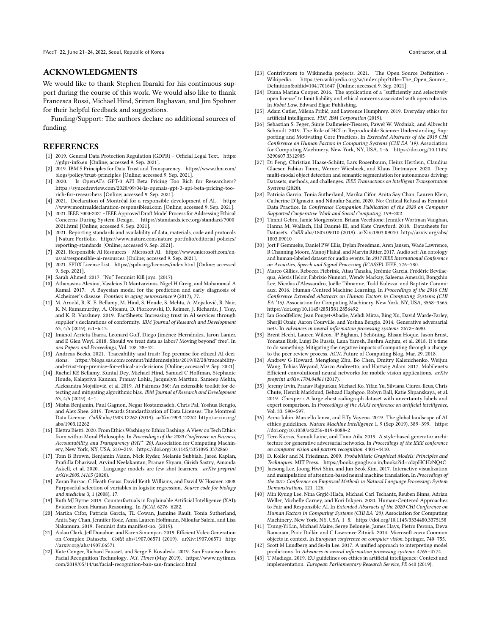#### ACKNOWLEDGMENTS

We would like to thank Stephen Ibaraki for his continuous support during the course of this work. We would also like to thank Francesca Rossi, Michael Hind, Sriram Raghavan, and Jim Spohrer for their helpful feedback and suggestions.

Funding/Support: The authors declare no additional sources of funding.

#### REFERENCES

- <span id="page-9-10"></span>[1] 2019. General Data Protection Regulation (GDPR) – Official Legal Text. [https:](https://gdpr-info.eu) [//gdpr-info.eu](https://gdpr-info.eu) [Online; accessed 9. Sep. 2021].
- <span id="page-9-21"></span>[2] 2019. IBM'S Principles for Data Trust and Transparency. [https://www.ibm.com/](https://www.ibm.com/blogs/policy/trust-principles) [blogs/policy/trust-principles](https://www.ibm.com/blogs/policy/trust-principles) [Online; accessed 9. Sep. 2021].
- <span id="page-9-29"></span>Is OpenAI's GPT-3 API Beta Pricing Too Rich for Researchers? [https://syncedreview.com/2020/09/04/is-openais-gpt-3-api-beta-pricing-too](https://syncedreview.com/2020/09/04/is-openais-gpt-3-api-beta-pricing-too-rich-for-researchers)[rich-for-researchers](https://syncedreview.com/2020/09/04/is-openais-gpt-3-api-beta-pricing-too-rich-for-researchers) [Online; accessed 9. Sep. 2021].
- <span id="page-9-20"></span>[4] 2021. Declaration of Montréal for a responsible development of AI. [https:](https://www.montrealdeclaration-responsibleai.com) [//www.montrealdeclaration-responsibleai.com](https://www.montrealdeclaration-responsibleai.com) [Online; accessed 9. Sep. 2021].
- <span id="page-9-18"></span>[5] 2021. IEEE 7000-2021 - IEEE Approved Draft Model Process for Addressing Ethical Concerns During System Design. [https://standards.ieee.org/standard/7000-](https://standards.ieee.org/standard/7000-2021.html) [2021.html](https://standards.ieee.org/standard/7000-2021.html) [Online; accessed 9. Sep. 2021].
- <span id="page-9-0"></span>[6] 2021. Reporting standards and availability of data, materials, code and protocols | Nature Portfolio. [https://www.nature.com/nature-portfolio/editorial-policies/](https://www.nature.com/nature-portfolio/editorial-policies/reporting-standards) [reporting-standards](https://www.nature.com/nature-portfolio/editorial-policies/reporting-standards) [Online; accessed 9. Sep. 2021].
- <span id="page-9-8"></span>[7] 2021. Responsible AI Resources – Microsoft AI. [https://www.microsoft.com/en](https://www.microsoft.com/en-us/ai/responsible-ai-resources)[us/ai/responsible-ai-resources](https://www.microsoft.com/en-us/ai/responsible-ai-resources) [Online; accessed 9. Sep. 2021].
- <span id="page-9-39"></span>[8] 2021. SPDX License List.<https://spdx.org/licenses/index.html> [Online; accessed 9. Sep. 2021].
- <span id="page-9-40"></span>[9] Sarah Ahmed. 2017. "No," Feminist Kill joys. (2017).
- <span id="page-9-24"></span>[10] Athanasios Alexiou, Vasileios D Mantzavinos, Nigel H Greig, and Mohammad A Kamal. 2017. A Bayesian model for the prediction and early diagnosis of
- <span id="page-9-13"></span>Alzheimer's disease. Frontiers in aging neuroscience 9 (2017), 77. [11] M. Arnold, R. K. E. Bellamy, M. Hind, S. Houde, S. Mehta, A. Mojsilović, R. Nair, K. N. Ramamurthy, A. Olteanu, D. Piorkowski, D. Reimer, J. Richards, J. Tsay, and K. R. Varshney. 2019. FactSheets: Increasing trust in AI services through supplier's declarations of conformity. IBM Journal of Research and Development 63, 4/5 (2019), 6:1–6:13.
- <span id="page-9-38"></span>[12] Imanol Arrieta-Ibarra, Leonard Goff, Diego Jiménez-Hernández, Jaron Lanier, and E Glen Weyl. 2018. Should we treat data as labor? Moving beyond" free". In aea Papers and Proceedings, Vol. 108. 38–42.
- <span id="page-9-16"></span>[13] Andreas Becks. 2021. Traceability and trust: Top premise for ethical AI decisions. [https://blogs.sas.com/content/hiddeninsights/2019/02/28/traceability](https://blogs.sas.com/content/hiddeninsights/2019/02/28/traceability-and-trust-top-premise-for-ethical-ai-decisions)[and-trust-top-premise-for-ethical-ai-decisions](https://blogs.sas.com/content/hiddeninsights/2019/02/28/traceability-and-trust-top-premise-for-ethical-ai-decisions) [Online; accessed 9. Sep. 2021].
- <span id="page-9-14"></span>[14] Rachel KE Bellamy, Kuntal Dey, Michael Hind, Samuel C Hoffman, Stephanie Houde, Kalapriya Kannan, Pranay Lohia, Jacquelyn Martino, Sameep Mehta, Aleksandra Mojsilović, et al. 2019. AI Fairness 360: An extensible toolkit for detecting and mitigating algorithmic bias. IBM Journal of Research and Development 63, 4/5 (2019), 4–1.
- <span id="page-9-36"></span>[15] Misha Benjamin, Paul Gagnon, Negar Rostamzadeh, Chris Pal, Yoshua Bengio, and Alex Shee. 2019. Towards Standardization of Data Licenses: The Montreal Data License. CoRR abs/1903.12262 (2019). arXiv[:1903.12262](https://arxiv.org/abs/1903.12262) [http://arxiv.org/](http://arxiv.org/abs/1903.12262) [abs/1903.12262](http://arxiv.org/abs/1903.12262)
- <span id="page-9-9"></span>[16] Elettra Bietti. 2020. From Ethics Washing to Ethics Bashing: A View on Tech Ethics from within Moral Philosophy. In Proceedings of the 2020 Conference on Fairness, Accountability, and Transparency (FAT\* '20). Association for Computing Machinery, New York, NY, USA, 210–219.<https://doi.org/10.1145/3351095.3372860>
- <span id="page-9-2"></span>[17] Tom B Brown, Benjamin Mann, Nick Ryder, Melanie Subbiah, Jared Kaplan, Prafulla Dhariwal, Arvind Neelakantan, Pranav Shyam, Girish Sastry, Amanda Askell, et al. 2020. Language models are few-shot learners. arXiv preprint arXiv:2005.14165 (2020).
- <span id="page-9-22"></span>[18] Zoran Bursac, C Heath Gauss, David Keith Williams, and David W Hosmer. 2008. Purposeful selection of variables in logistic regression. Source code for biology and medicine 3, 1 (2008), 17.
- <span id="page-9-27"></span>[19] Ruth MJ Byrne. 2019. Counterfactuals in Explainable Artificial Intelligence (XAI): Evidence from Human Reasoning.. In IJCAI. 6276–6282.
- <span id="page-9-41"></span>[20] Marika Cifor, Patricia Garcia, TL Cowan, Jasmine Rault, Tonia Sutherland, Anita Say Chan, Jennifer Rode, Anna Lauren Hoffmann, Niloufar Salehi, and Lisa Nakamura. 2019. Feminist data manifest-no. (2019).
- <span id="page-9-4"></span>[21] Aidan Clark, Jeff Donahue, and Karen Simonyan. 2019. Efficient Video Generation on Complex Datasets. CoRR abs/1907.06571 (2019). arXiv[:1907.06571](https://arxiv.org/abs/1907.06571) [http:](http://arxiv.org/abs/1907.06571) [//arxiv.org/abs/1907.06571](http://arxiv.org/abs/1907.06571)
- <span id="page-9-11"></span>[22] Kate Conger, Richard Fausset, and Serge F. Kovaleski. 2019. San Francisco Bans Facial Recognition Technology. N.Y. Times (May 2019). [https://www.nytimes.](https://www.nytimes.com/2019/05/14/us/facial-recognition-ban-san-francisco.html) [com/2019/05/14/us/facial-recognition-ban-san-francisco.html](https://www.nytimes.com/2019/05/14/us/facial-recognition-ban-san-francisco.html)
- <span id="page-9-31"></span>[23] Contributors to Wikimedia projects. 2021. The Open Source Definition - Wikipedia. https://en.wikipedia.org/w/index.php?title=The Open Source Wikipedia. [https://en.wikipedia.org/w/index.php?title=The\\_Open\\_Source\\_](https://en.wikipedia.org/w/index.php?title=The_Open_Source_Definition&oldid=1041701647) [Definition&oldid=1041701647](https://en.wikipedia.org/w/index.php?title=The_Open_Source_Definition&oldid=1041701647) [Online; accessed 9. Sep. 2021].
- <span id="page-9-30"></span>[24] Diana Marina Cooper. 2016. The application of a "sufficiently and selectively open license" to limit liability and ethical concerns associated with open robotics. In Robot Law. Edward Elgar Publishing.
- <span id="page-9-19"></span>[25] Adam Cutler, Milena Pribić, and Lawrence Humphrey. 2019. Everyday ethics for artificial intelligence. PDF, IBM Corporation (2019).
- <span id="page-9-1"></span>[26] Sebastian S. Feger, Sünje Dallmeier-Tiessen, Paweł W. Woźniak, and Albrecht Schmidt. 2019. The Role of HCI in Reproducible Science: Understanding, Supporting and Motivating Core Practices. In Extended Abstracts of the 2019 CHI Conference on Human Factors in Computing Systems (CHI EA '19). Association for Computing Machinery, New York, NY, USA, 1–6. [https://doi.org/10.1145/](https://doi.org/10.1145/3290607.3312905) [3290607.3312905](https://doi.org/10.1145/3290607.3312905)
- <span id="page-9-6"></span>[27] Di Feng, Christian Haase-Schütz, Lars Rosenbaum, Heinz Hertlein, Claudius Glaeser, Fabian Timm, Werner Wiesbeck, and Klaus Dietmayer. 2020. Deep multi-modal object detection and semantic segmentation for autonomous driving: Datasets, methods, and challenges. IEEE Transactions on Intelligent Transportation Systems (2020).
- <span id="page-9-42"></span>[28] Patricia Garcia, Tonia Sutherland, Marika Cifor, Anita Say Chan, Lauren Klein, Catherine D'Ignazio, and Niloufar Salehi. 2020. No: Critical Refusal as Feminist Data Practice. In Conference Companion Publication of the 2020 on Computer Supported Cooperative Work and Social Computing. 199–202.
- <span id="page-9-28"></span>[29] Timnit Gebru, Jamie Morgenstern, Briana Vecchione, Jennifer Wortman Vaughan, Hanna M. Wallach, Hal Daumé III, and Kate Crawford. 2018. Datasheets for Datasets. CoRR abs/1803.09010 (2018). arXiv[:1803.09010](https://arxiv.org/abs/1803.09010) [http://arxiv.org/abs/](http://arxiv.org/abs/1803.09010) [1803.09010](http://arxiv.org/abs/1803.09010)
- <span id="page-9-32"></span>[30] Jort F Gemmeke, Daniel PW Ellis, Dylan Freedman, Aren Jansen, Wade Lawrence, R Channing Moore, Manoj Plakal, and Marvin Ritter. 2017. Audio set: An ontology and human-labeled dataset for audio events. In 2017 IEEE International Conference on Acoustics, Speech and Signal Processing (ICASSP). IEEE, 776–780.
- <span id="page-9-7"></span>[31] Marco Gillies, Rebecca Fiebrink, Atau Tanaka, Jérémie Garcia, Frédéric Bevilacqua, Alexis Heloir, Fabrizio Nunnari, Wendy Mackay, Saleema Amershi, Bongshin Lee, Nicolas d'Alessandro, Joëlle Tilmanne, Todd Kulesza, and Baptiste Caramiaux. 2016. Human-Centred Machine Learning. In Proceedings of the 2016 CHI Conference Extended Abstracts on Human Factors in Computing Systems (CHI EA '16). Association for Computing Machinery, New York, NY, USA, 3558–3565. <https://doi.org/10.1145/2851581.2856492>
- <span id="page-9-5"></span>[32] Ian Goodfellow, Jean Pouget-Abadie, Mehdi Mirza, Bing Xu, David Warde-Farley, Sherjil Ozair, Aaron Courville, and Yoshua Bengio. 2014. Generative adversarial nets. In Advances in neural information processing systems. 2672–2680.
- <span id="page-9-35"></span>[33] Brent Hecht, Lauren Wilcox, JP Bigham, J Schöning, Ehsan Hoque, Jason Ernst, Yonatan Bisk, Luigi De Russis, Lana Yarosh, Bushra Anjum, et al. 2018. It's time to do something: Mitigating the negative impacts of computing through a change to the peer review process. ACM Future of Computing Blog. Mar. 29, 2018.
- <span id="page-9-34"></span>[34] Andrew G Howard, Menglong Zhu, Bo Chen, Dmitry Kalenichenko, Weijun Wang, Tobias Weyand, Marco Andreetto, and Hartwig Adam. 2017. Mobilenets: Efficient convolutional neural networks for mobile vision applications. arXiv preprint arXiv:1704.04861 (2017).
- <span id="page-9-37"></span>[35] Jeremy Irvin, Pranav Rajpurkar, Michael Ko, Yifan Yu, Silviana Ciurea-Ilcus, Chris Chute, Henrik Marklund, Behzad Haghgoo, Robyn Ball, Katie Shpanskaya, et al. 2019. Chexpert: A large chest radiograph dataset with uncertainty labels and expert comparison. In Proceedings of the AAAI conference on artificial intelligence, Vol. 33. 590–597.
- <span id="page-9-15"></span>[36] Anna Jobin, Marcello Ienca, and Effy Vayena. 2019. The global landscape of AI ethics guidelines. Nature Machine Intelligence 1, 9 (Sep 2019), 389-399. [https:](https://doi.org/10.1038/s42256-019-0088-2) [//doi.org/10.1038/s42256-019-0088-2](https://doi.org/10.1038/s42256-019-0088-2)
- <span id="page-9-3"></span>[37] Tero Karras, Samuli Laine, and Timo Aila. 2019. A style-based generator architecture for generative adversarial networks. In Proceedings of the IEEE conference on computer vision and pattern recognition. 4401–4410.
- <span id="page-9-23"></span>[38] D. Koller and N. Friedman. 2009. Probabilistic Graphical Models: Principles and Techniques. MIT Press.<https://books.google.co.in/books?id=7dzpHCHzNQ4C>
- <span id="page-9-26"></span>[39] Jaesong Lee, Joong-Hwi Shin, and Jun-Seok Kim. 2017. Interactive visualization and manipulation of attention-based neural machine translation. In Proceedings of the 2017 Conference on Empirical Methods in Natural Language Processing: System Demonstrations. 121–126.
- <span id="page-9-12"></span>[40] Min Kyung Lee, Nina Grgić-Hlača, Michael Carl Tschantz, Reuben Binns, Adrian Weller, Michelle Carney, and Kori Inkpen. 2020. Human-Centered Approaches to Fair and Responsible AI. In Extended Abstracts of the 2020 CHI Conference on Human Factors in Computing Systems (CHI EA '20). Association for Computing Machinery, New York, NY, USA, 1–8.<https://doi.org/10.1145/3334480.3375158>
- <span id="page-9-33"></span>[41] Tsung-Yi Lin, Michael Maire, Serge Belongie, James Hays, Pietro Perona, Deva Ramanan, Piotr Dollár, and C Lawrence Zitnick. 2014. Microsoft coco: Common objects in context. In European conference on computer vision. Springer, 740–755.
- <span id="page-9-25"></span>[42] Scott M Lundberg and Su-In Lee. 2017. A unified approach to interpreting model predictions. In Advances in neural information processing systems. 4765–4774.
- <span id="page-9-17"></span>[43] T Madiega. 2019. EU guidelines on ethics in artificial intelligence: Context and implementation. European Parliamentary Research Service, PE 640 (2019).